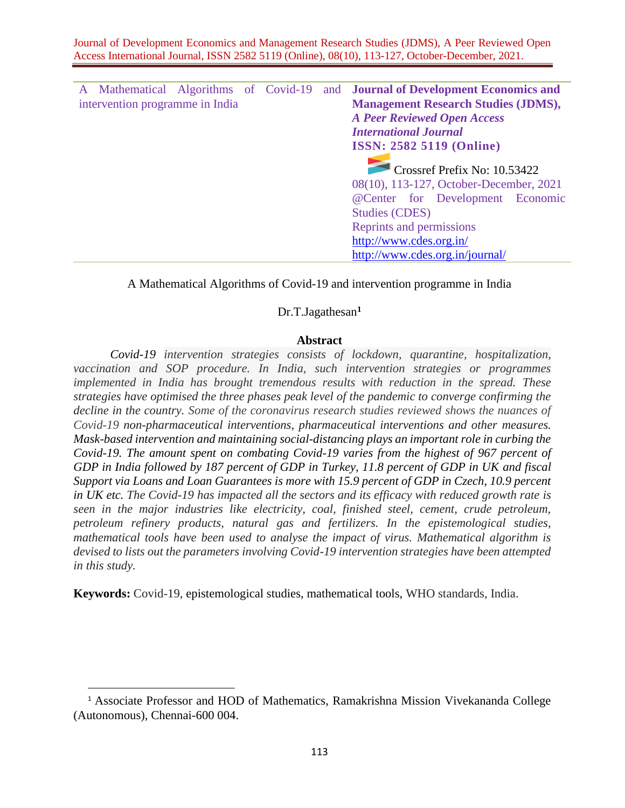| A Mathematical Algorithms of Covid-19 and <b>Journal of Development Economics and</b><br>intervention programme in India |  |                                                                    |  |  | <b>Management Research Studies (JDMS),</b> |  |  |  |
|--------------------------------------------------------------------------------------------------------------------------|--|--------------------------------------------------------------------|--|--|--------------------------------------------|--|--|--|
|                                                                                                                          |  | <b>A Peer Reviewed Open Access</b><br><b>International Journal</b> |  |  |                                            |  |  |  |
|                                                                                                                          |  |                                                                    |  |  | <b>ISSN: 2582 5119 (Online)</b>            |  |  |  |
|                                                                                                                          |  |                                                                    |  |  | Crossref Prefix No: 10.53422               |  |  |  |
|                                                                                                                          |  |                                                                    |  |  | 08(10), 113-127, October-December, 2021    |  |  |  |
|                                                                                                                          |  |                                                                    |  |  | @Center for Development Economic           |  |  |  |
|                                                                                                                          |  |                                                                    |  |  | <b>Studies (CDES)</b>                      |  |  |  |
|                                                                                                                          |  |                                                                    |  |  | Reprints and permissions                   |  |  |  |
|                                                                                                                          |  |                                                                    |  |  | http://www.cdes.org.in/                    |  |  |  |
|                                                                                                                          |  |                                                                    |  |  | http://www.cdes.org.in/journal/            |  |  |  |

# A Mathematical Algorithms of Covid-19 and intervention programme in India

# Dr.T.Jagathesan**<sup>1</sup>**

## **Abstract**

*Covid-19 intervention strategies consists of lockdown, quarantine, hospitalization, vaccination and SOP procedure. In India, such intervention strategies or programmes implemented in India has brought tremendous results with reduction in the spread. These strategies have optimised the three phases peak level of the pandemic to converge confirming the decline in the country. Some of the coronavirus research studies reviewed shows the nuances of Covid-19 non-pharmaceutical interventions, pharmaceutical interventions and other measures. Mask-based intervention and maintaining social-distancing plays an important role in curbing the Covid-19. The amount spent on combating Covid-19 varies from the highest of 967 percent of GDP in India followed by 187 percent of GDP in Turkey, 11.8 percent of GDP in UK and fiscal Support via Loans and Loan Guarantees is more with 15.9 percent of GDP in Czech, 10.9 percent in UK etc. The Covid-19 has impacted all the sectors and its efficacy with reduced growth rate is seen in the major industries like electricity, coal, finished steel, cement, crude petroleum, petroleum refinery products, natural gas and fertilizers. In the epistemological studies, mathematical tools have been used to analyse the impact of virus. Mathematical algorithm is devised to lists out the parameters involving Covid-19 intervention strategies have been attempted in this study.*

**Keywords:** Covid-19, epistemological studies, mathematical tools, WHO standards, India.

<sup>&</sup>lt;sup>1</sup> Associate Professor and HOD of Mathematics, Ramakrishna Mission Vivekananda College (Autonomous), Chennai-600 004.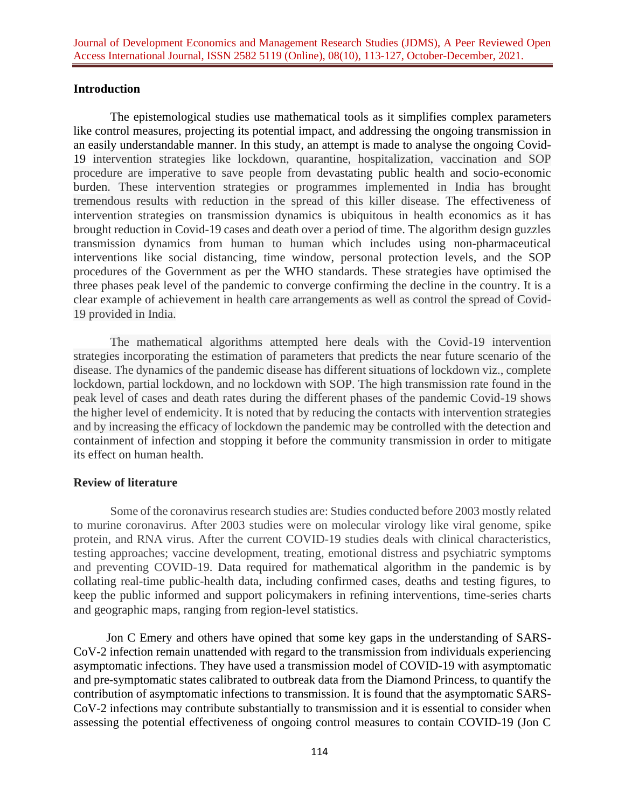## **Introduction**

The epistemological studies use mathematical tools as it simplifies complex parameters like control measures, projecting its potential impact, and addressing the ongoing transmission in an easily understandable manner. In this study, an attempt is made to analyse the ongoing Covid-19 intervention strategies like lockdown, quarantine, hospitalization, vaccination and SOP procedure are imperative to save people from devastating public health and socio-economic burden. These intervention strategies or programmes implemented in India has brought tremendous results with reduction in the spread of this killer disease. The effectiveness of intervention strategies on transmission dynamics is ubiquitous in health economics as it has brought reduction in Covid-19 cases and death over a period of time. The algorithm design guzzles transmission dynamics from human to human which includes using non-pharmaceutical interventions like social distancing, time window, personal protection levels, and the SOP procedures of the Government as per the WHO standards. These strategies have optimised the three phases peak level of the pandemic to converge confirming the decline in the country. It is a clear example of achievement in health care arrangements as well as control the spread of Covid-19 provided in India.

The mathematical algorithms attempted here deals with the Covid-19 intervention strategies incorporating the estimation of parameters that predicts the near future scenario of the disease. The dynamics of the pandemic disease has different situations of lockdown viz., complete lockdown, partial lockdown, and no lockdown with SOP. The high transmission rate found in the peak level of cases and death rates during the different phases of the pandemic Covid-19 shows the higher level of endemicity. It is noted that by reducing the contacts with intervention strategies and by increasing the efficacy of lockdown the pandemic may be controlled with the detection and containment of infection and stopping it before the community transmission in order to mitigate its effect on human health.

### **Review of literature**

Some of the coronavirus research studies are: Studies conducted before 2003 mostly related to murine coronavirus. After 2003 studies were on molecular virology like viral genome, spike protein, and RNA virus. After the current COVID-19 studies deals with clinical characteristics, testing approaches; vaccine development, treating, emotional distress and psychiatric symptoms and preventing COVID-19. Data required for mathematical algorithm in the pandemic is by collating real-time public-health data, including confirmed cases, deaths and testing figures, to keep the public informed and support policymakers in refining interventions, time-series charts and geographic maps, ranging from region-level statistics.

Jon C Emery and others have opined that some key gaps in the understanding of SARS-CoV-2 infection remain unattended with regard to the transmission from individuals experiencing asymptomatic infections. They have used a transmission model of COVID-19 with asymptomatic and pre-symptomatic states calibrated to outbreak data from the Diamond Princess, to quantify the contribution of asymptomatic infections to transmission. It is found that the asymptomatic SARS-CoV-2 infections may contribute substantially to transmission and it is essential to consider when assessing the potential effectiveness of ongoing control measures to contain COVID-19 (Jon C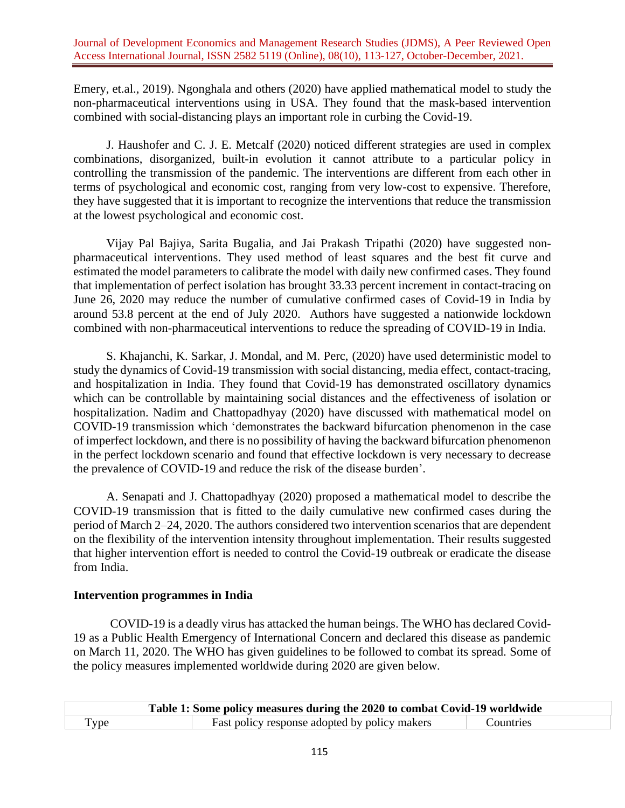Emery, et.al., 2019). Ngonghala and others (2020) have applied mathematical model to study the non-pharmaceutical interventions using in USA. They found that the mask-based intervention combined with social-distancing plays an important role in curbing the Covid-19.

J. Haushofer and C. J. E. Metcalf (2020) noticed different strategies are used in complex combinations, disorganized, built-in evolution it cannot attribute to a particular policy in controlling the transmission of the pandemic. The interventions are different from each other in terms of psychological and economic cost, ranging from very low-cost to expensive. Therefore, they have suggested that it is important to recognize the interventions that reduce the transmission at the lowest psychological and economic cost.

Vijay Pal Bajiya, Sarita Bugalia, and Jai Prakash Tripathi (2020) have suggested nonpharmaceutical interventions. They used method of least squares and the best fit curve and estimated the model parameters to calibrate the model with daily new confirmed cases. They found that implementation of perfect isolation has brought 33.33 percent increment in contact-tracing on June 26, 2020 may reduce the number of cumulative confirmed cases of Covid-19 in India by around 53.8 percent at the end of July 2020. Authors have suggested a nationwide lockdown combined with non-pharmaceutical interventions to reduce the spreading of COVID-19 in India.

S. Khajanchi, K. Sarkar, J. Mondal, and M. Perc, (2020) have used deterministic model to study the dynamics of Covid-19 transmission with social distancing, media effect, contact-tracing, and hospitalization in India. They found that Covid-19 has demonstrated oscillatory dynamics which can be controllable by maintaining social distances and the effectiveness of isolation or hospitalization. Nadim and Chattopadhyay (2020) have discussed with mathematical model on COVID-19 transmission which 'demonstrates the backward bifurcation phenomenon in the case of imperfect lockdown, and there is no possibility of having the backward bifurcation phenomenon in the perfect lockdown scenario and found that effective lockdown is very necessary to decrease the prevalence of COVID-19 and reduce the risk of the disease burden'.

A. Senapati and J. Chattopadhyay (2020) proposed a mathematical model to describe the COVID-19 transmission that is fitted to the daily cumulative new confirmed cases during the period of March 2–24, 2020. The authors considered two intervention scenarios that are dependent on the flexibility of the intervention intensity throughout implementation. Their results suggested that higher intervention effort is needed to control the Covid-19 outbreak or eradicate the disease from India.

# **Intervention programmes in India**

COVID-19 is a deadly virus has attacked the human beings. The WHO has declared Covid-19 as a Public Health Emergency of International Concern and declared this disease as pandemic on March 11, 2020. The WHO has given guidelines to be followed to combat its spread. Some of the policy measures implemented worldwide during 2020 are given below.

| Table 1: Some policy measures during the 2020 to combat Covid-19 worldwide |                                               |           |  |  |  |  |  |
|----------------------------------------------------------------------------|-----------------------------------------------|-----------|--|--|--|--|--|
| Type                                                                       | Fast policy response adopted by policy makers | Countries |  |  |  |  |  |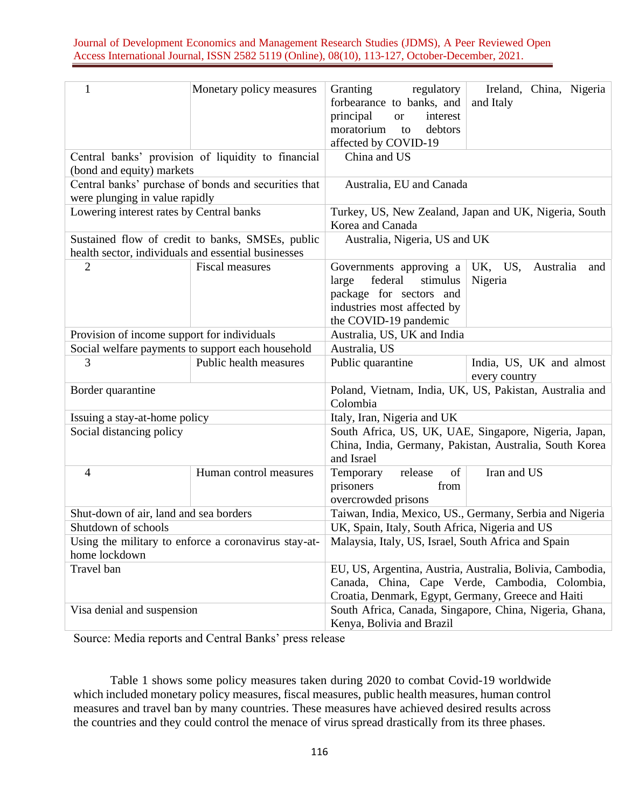| 1                                                   | Monetary policy measures                             | Granting<br>regulatory<br>forbearance to banks, and<br>principal<br>interest<br><b>or</b><br>moratorium<br>debtors<br>to<br>affected by COVID-19                  | Ireland, China, Nigeria<br>and Italy   |  |  |  |  |  |
|-----------------------------------------------------|------------------------------------------------------|-------------------------------------------------------------------------------------------------------------------------------------------------------------------|----------------------------------------|--|--|--|--|--|
| (bond and equity) markets                           | Central banks' provision of liquidity to financial   | China and US                                                                                                                                                      |                                        |  |  |  |  |  |
| were plunging in value rapidly                      | Central banks' purchase of bonds and securities that | Australia, EU and Canada                                                                                                                                          |                                        |  |  |  |  |  |
| Lowering interest rates by Central banks            |                                                      | Turkey, US, New Zealand, Japan and UK, Nigeria, South<br>Korea and Canada                                                                                         |                                        |  |  |  |  |  |
| health sector, individuals and essential businesses | Sustained flow of credit to banks, SMSEs, public     | Australia, Nigeria, US and UK                                                                                                                                     |                                        |  |  |  |  |  |
| 2                                                   | <b>Fiscal measures</b>                               | Governments approving a<br>federal<br>stimulus<br>large<br>package for sectors and<br>industries most affected by<br>the COVID-19 pandemic                        | UK, US,<br>Australia<br>and<br>Nigeria |  |  |  |  |  |
| Provision of income support for individuals         |                                                      | Australia, US, UK and India                                                                                                                                       |                                        |  |  |  |  |  |
|                                                     | Social welfare payments to support each household    | Australia, US                                                                                                                                                     |                                        |  |  |  |  |  |
| 3                                                   | Public health measures                               | Public quarantine<br>India, US, UK and almost<br>every country                                                                                                    |                                        |  |  |  |  |  |
| Border quarantine                                   |                                                      | Poland, Vietnam, India, UK, US, Pakistan, Australia and<br>Colombia                                                                                               |                                        |  |  |  |  |  |
| Issuing a stay-at-home policy                       |                                                      | Italy, Iran, Nigeria and UK                                                                                                                                       |                                        |  |  |  |  |  |
| Social distancing policy                            |                                                      | South Africa, US, UK, UAE, Singapore, Nigeria, Japan,<br>China, India, Germany, Pakistan, Australia, South Korea<br>and Israel                                    |                                        |  |  |  |  |  |
| $\overline{4}$                                      | Human control measures                               | of<br>Temporary<br>release<br>prisoners<br>from<br>overcrowded prisons                                                                                            | Iran and US                            |  |  |  |  |  |
| Shut-down of air, land and sea borders              |                                                      | Taiwan, India, Mexico, US., Germany, Serbia and Nigeria                                                                                                           |                                        |  |  |  |  |  |
| Shutdown of schools                                 |                                                      | UK, Spain, Italy, South Africa, Nigeria and US                                                                                                                    |                                        |  |  |  |  |  |
| home lockdown                                       | Using the military to enforce a coronavirus stay-at- | Malaysia, Italy, US, Israel, South Africa and Spain                                                                                                               |                                        |  |  |  |  |  |
| Travel ban                                          |                                                      | EU, US, Argentina, Austria, Australia, Bolivia, Cambodia,<br>Canada, China, Cape Verde, Cambodia, Colombia,<br>Croatia, Denmark, Egypt, Germany, Greece and Haiti |                                        |  |  |  |  |  |
| Visa denial and suspension                          |                                                      | South Africa, Canada, Singapore, China, Nigeria, Ghana,<br>Kenya, Bolivia and Brazil                                                                              |                                        |  |  |  |  |  |

Source: Media reports and Central Banks' press release

Table 1 shows some policy measures taken during 2020 to combat Covid-19 worldwide which included monetary policy measures, fiscal measures, public health measures, human control measures and travel ban by many countries. These measures have achieved desired results across the countries and they could control the menace of virus spread drastically from its three phases.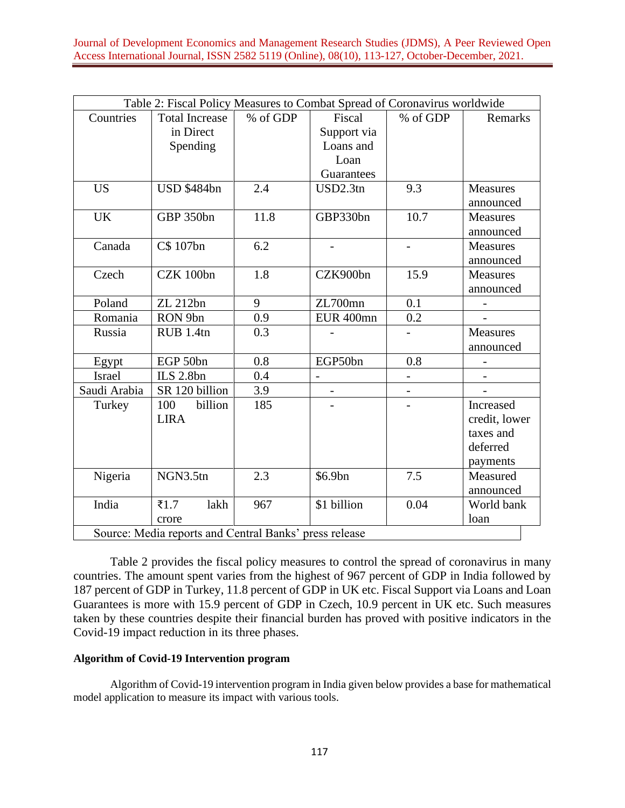| Table 2: Fiscal Policy Measures to Combat Spread of Coronavirus worldwide |                    |          |                |                          |                 |  |  |  |  |
|---------------------------------------------------------------------------|--------------------|----------|----------------|--------------------------|-----------------|--|--|--|--|
| Countries<br><b>Total Increase</b>                                        |                    | % of GDP | Fiscal         | % of GDP                 | Remarks         |  |  |  |  |
|                                                                           | in Direct          |          | Support via    |                          |                 |  |  |  |  |
|                                                                           | Spending           |          | Loans and      |                          |                 |  |  |  |  |
|                                                                           |                    |          | Loan           |                          |                 |  |  |  |  |
|                                                                           |                    |          | Guarantees     |                          |                 |  |  |  |  |
| <b>US</b>                                                                 | <b>USD \$484bn</b> | 2.4      | USD2.3tn       | 9.3                      | <b>Measures</b> |  |  |  |  |
|                                                                           |                    |          |                |                          | announced       |  |  |  |  |
| <b>UK</b>                                                                 | GBP 350bn          | 11.8     | GBP330bn       | 10.7                     | Measures        |  |  |  |  |
|                                                                           |                    |          |                |                          | announced       |  |  |  |  |
| Canada                                                                    | C\$ 107bn          | 6.2      |                |                          | Measures        |  |  |  |  |
|                                                                           |                    |          |                |                          | announced       |  |  |  |  |
| Czech                                                                     | CZK 100bn          | 1.8      | CZK900bn       | 15.9                     | <b>Measures</b> |  |  |  |  |
|                                                                           |                    |          |                |                          | announced       |  |  |  |  |
| Poland                                                                    | ZL 212bn           | 9        | ZL700mn        | 0.1                      |                 |  |  |  |  |
| Romania                                                                   | RON 9bn            | 0.9      | EUR 400mn      | 0.2                      |                 |  |  |  |  |
| Russia                                                                    | RUB 1.4tn          | 0.3      |                |                          | <b>Measures</b> |  |  |  |  |
|                                                                           |                    |          |                |                          | announced       |  |  |  |  |
| Egypt                                                                     | EGP 50bn           | 0.8      | EGP50bn        | 0.8                      |                 |  |  |  |  |
| <b>Israel</b>                                                             | ILS 2.8bn          | 0.4      | $\overline{a}$ | $\overline{\phantom{0}}$ |                 |  |  |  |  |
| Saudi Arabia                                                              | SR 120 billion     | 3.9      |                |                          |                 |  |  |  |  |
| Turkey                                                                    | billion<br>100     | 185      |                |                          | Increased       |  |  |  |  |
|                                                                           | <b>LIRA</b>        |          |                |                          | credit, lower   |  |  |  |  |
|                                                                           |                    |          |                |                          | taxes and       |  |  |  |  |
|                                                                           |                    |          |                |                          | deferred        |  |  |  |  |
|                                                                           |                    |          |                |                          | payments        |  |  |  |  |
| Nigeria                                                                   | NGN3.5tn           | 2.3      | \$6.9bn        | 7.5                      | Measured        |  |  |  |  |
|                                                                           |                    |          |                |                          | announced       |  |  |  |  |
| India                                                                     | ₹ $1.7$<br>lakh    | 967      | \$1 billion    | 0.04                     | World bank      |  |  |  |  |
|                                                                           | crore              |          |                |                          | loan            |  |  |  |  |
| Source: Media reports and Central Banks' press release                    |                    |          |                |                          |                 |  |  |  |  |

Table 2 provides the fiscal policy measures to control the spread of coronavirus in many countries. The amount spent varies from the highest of 967 percent of GDP in India followed by 187 percent of GDP in Turkey, 11.8 percent of GDP in UK etc. Fiscal Support via Loans and Loan Guarantees is more with 15.9 percent of GDP in Czech, 10.9 percent in UK etc. Such measures taken by these countries despite their financial burden has proved with positive indicators in the Covid-19 impact reduction in its three phases.

### **Algorithm of Covid-19 Intervention program**

Algorithm of Covid-19 intervention program in India given below provides a base for mathematical model application to measure its impact with various tools.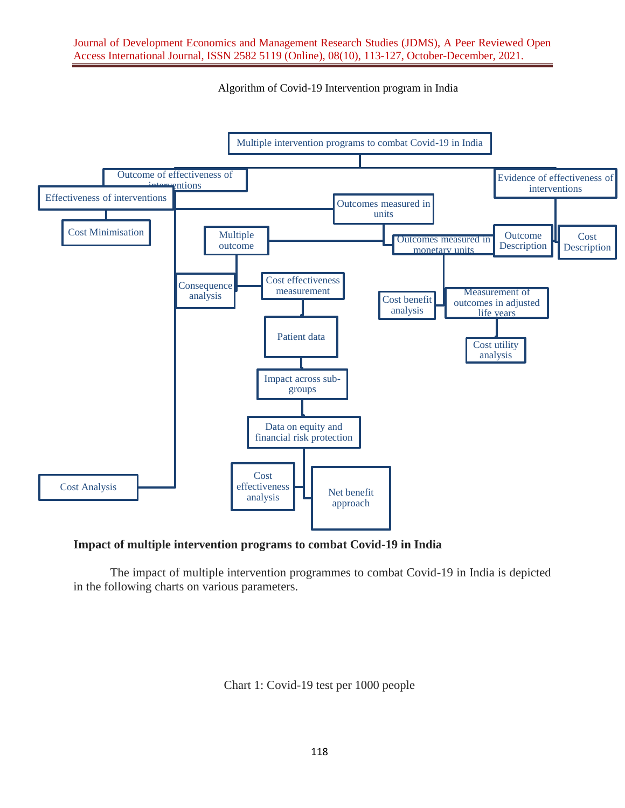Algorithm of Covid-19 Intervention program in India



# **Impact of multiple intervention programs to combat Covid-19 in India**

The impact of multiple intervention programmes to combat Covid-19 in India is depicted in the following charts on various parameters.

Chart 1: Covid-19 test per 1000 people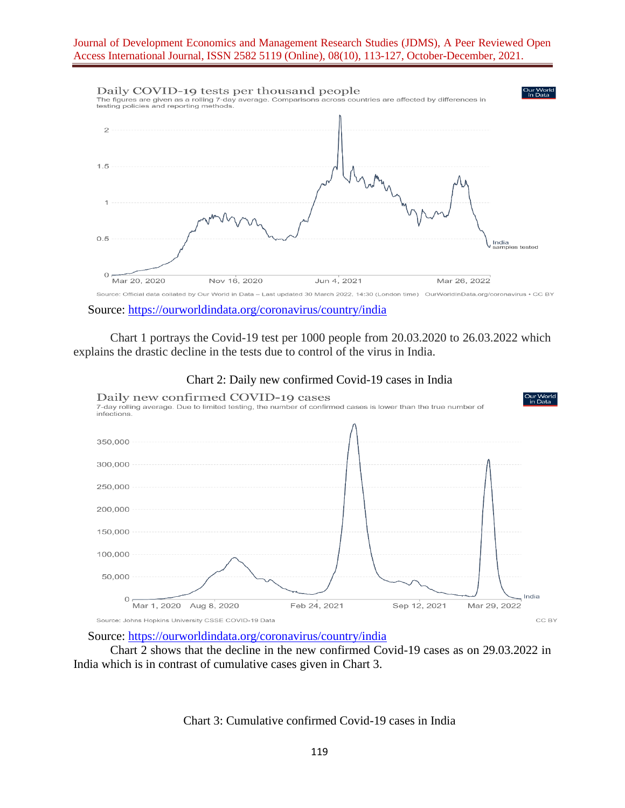

Source:<https://ourworldindata.org/coronavirus/country/india>

Chart 1 portrays the Covid-19 test per 1000 people from 20.03.2020 to 26.03.2022 which explains the drastic decline in the tests due to control of the virus in India.



Chart 2: Daily new confirmed Covid-19 cases in India

Source:<https://ourworldindata.org/coronavirus/country/india>

Chart 2 shows that the decline in the new confirmed Covid-19 cases as on 29.03.2022 in India which is in contrast of cumulative cases given in Chart 3.

Chart 3: Cumulative confirmed Covid-19 cases in India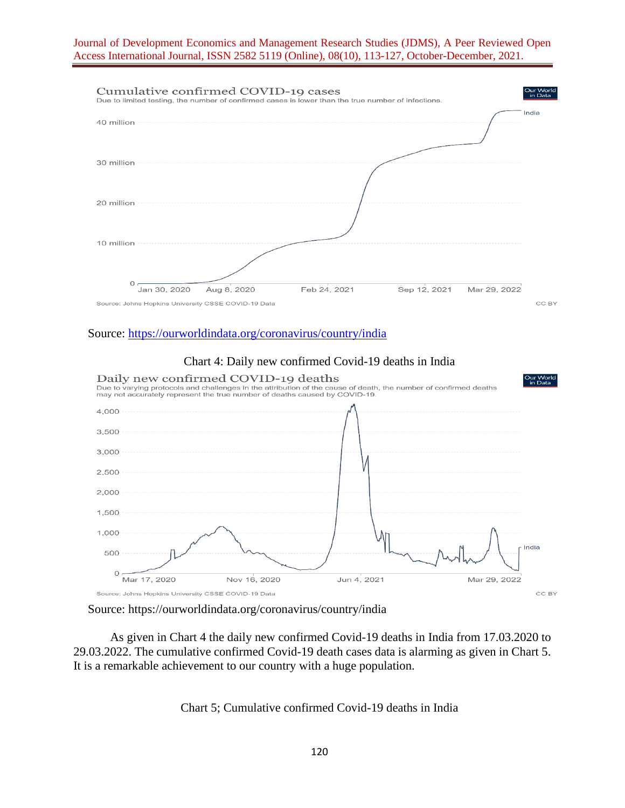

#### Source:<https://ourworldindata.org/coronavirus/country/india>



### Source: https://ourworldindata.org/coronavirus/country/india

As given in Chart 4 the daily new confirmed Covid-19 deaths in India from 17.03.2020 to 29.03.2022. The cumulative confirmed Covid-19 death cases data is alarming as given in Chart 5. It is a remarkable achievement to our country with a huge population.

Chart 5; Cumulative confirmed Covid-19 deaths in India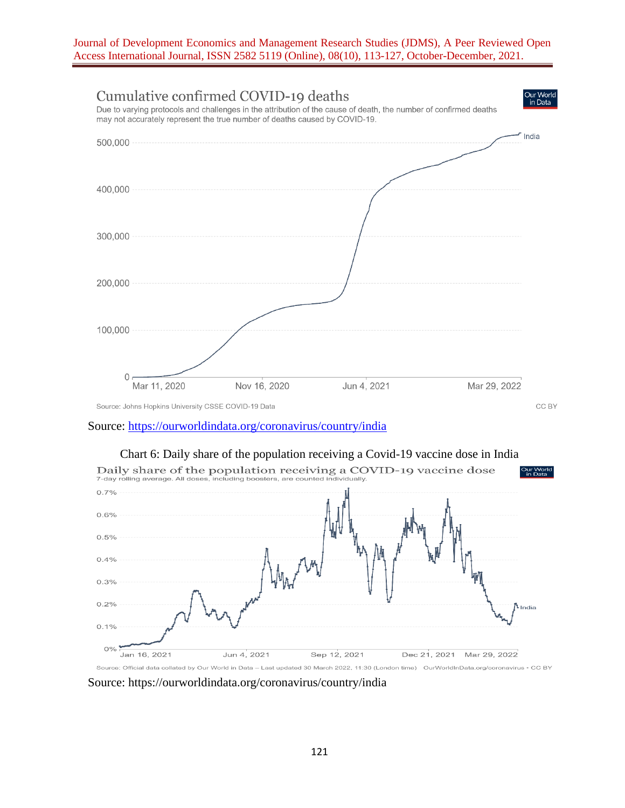

Source:<https://ourworldindata.org/coronavirus/country/india>





Source: https://ourworldindata.org/coronavirus/country/india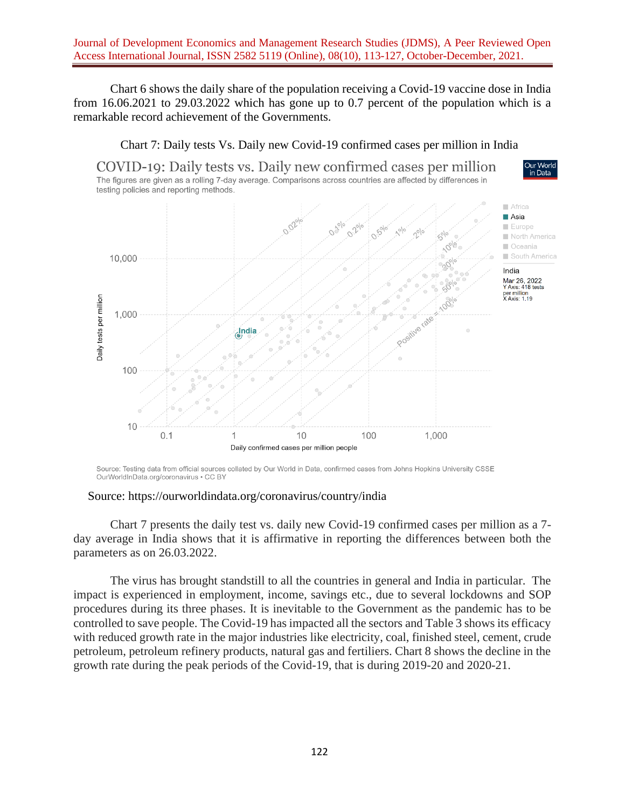Chart 6 shows the daily share of the population receiving a Covid-19 vaccine dose in India from 16.06.2021 to 29.03.2022 which has gone up to 0.7 percent of the population which is a remarkable record achievement of the Governments.



Source: Testing data from official sources collated by Our World in Data, confirmed cases from Johns Hopkins University CSSE OurWorldInData.org/coronavirus • CC BY

### Source: https://ourworldindata.org/coronavirus/country/india

Chart 7 presents the daily test vs. daily new Covid-19 confirmed cases per million as a 7 day average in India shows that it is affirmative in reporting the differences between both the parameters as on 26.03.2022.

The virus has brought standstill to all the countries in general and India in particular. The impact is experienced in employment, income, savings etc., due to several lockdowns and SOP procedures during its three phases. It is inevitable to the Government as the pandemic has to be controlled to save people. The Covid-19 has impacted all the sectors and Table 3 shows its efficacy with reduced growth rate in the major industries like electricity, coal, finished steel, cement, crude petroleum, petroleum refinery products, natural gas and fertiliers. Chart 8 shows the decline in the growth rate during the peak periods of the Covid-19, that is during 2019-20 and 2020-21.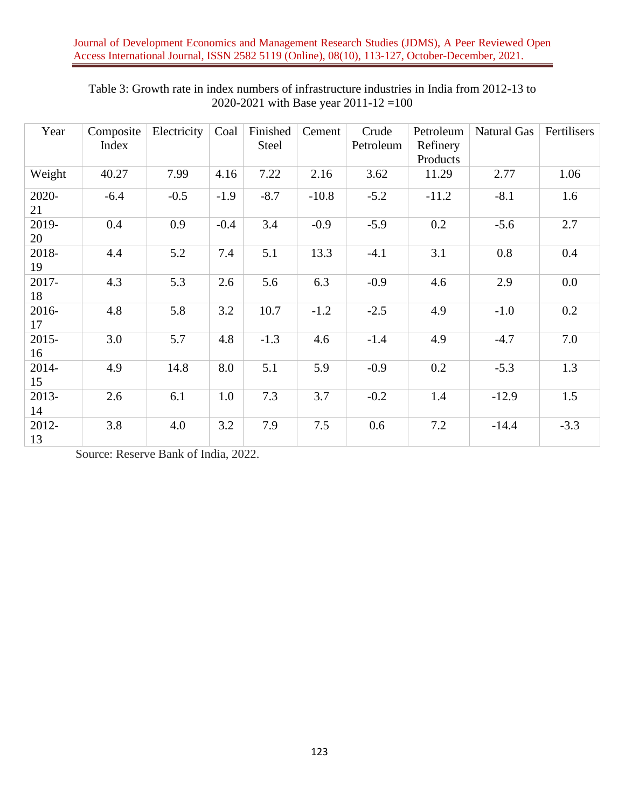| Year           | Composite<br>Index | Electricity | Coal   | Finished<br>Steel | Cement  | Crude<br>Petroleum | Petroleum<br>Refinery<br>Products | <b>Natural Gas</b> | Fertilisers |
|----------------|--------------------|-------------|--------|-------------------|---------|--------------------|-----------------------------------|--------------------|-------------|
| Weight         | 40.27              | 7.99        | 4.16   | 7.22              | 2.16    | 3.62               | 11.29                             | 2.77               | 1.06        |
| 2020-<br>21    | $-6.4$             | $-0.5$      | $-1.9$ | $-8.7$            | $-10.8$ | $-5.2$             | $-11.2$                           | $-8.1$             | 1.6         |
| 2019-<br>20    | 0.4                | 0.9         | $-0.4$ | 3.4               | $-0.9$  | $-5.9$             | 0.2                               | $-5.6$             | 2.7         |
| 2018-<br>19    | 4.4                | 5.2         | 7.4    | 5.1               | 13.3    | $-4.1$             | 3.1                               | 0.8                | 0.4         |
| $2017 -$<br>18 | 4.3                | 5.3         | 2.6    | 5.6               | 6.3     | $-0.9$             | 4.6                               | 2.9                | 0.0         |
| 2016-<br>17    | 4.8                | 5.8         | 3.2    | 10.7              | $-1.2$  | $-2.5$             | 4.9                               | $-1.0$             | 0.2         |
| $2015 -$<br>16 | 3.0                | 5.7         | 4.8    | $-1.3$            | 4.6     | $-1.4$             | 4.9                               | $-4.7$             | 7.0         |
| 2014-<br>15    | 4.9                | 14.8        | 8.0    | 5.1               | 5.9     | $-0.9$             | 0.2                               | $-5.3$             | 1.3         |
| 2013-<br>14    | 2.6                | 6.1         | 1.0    | 7.3               | 3.7     | $-0.2$             | 1.4                               | $-12.9$            | 1.5         |
| 2012-<br>13    | 3.8                | 4.0         | 3.2    | 7.9               | 7.5     | 0.6                | 7.2                               | $-14.4$            | $-3.3$      |

Table 3: Growth rate in index numbers of infrastructure industries in India from 2012-13 to 2020-2021 with Base year 2011-12 =100

Source: Reserve Bank of India, 2022.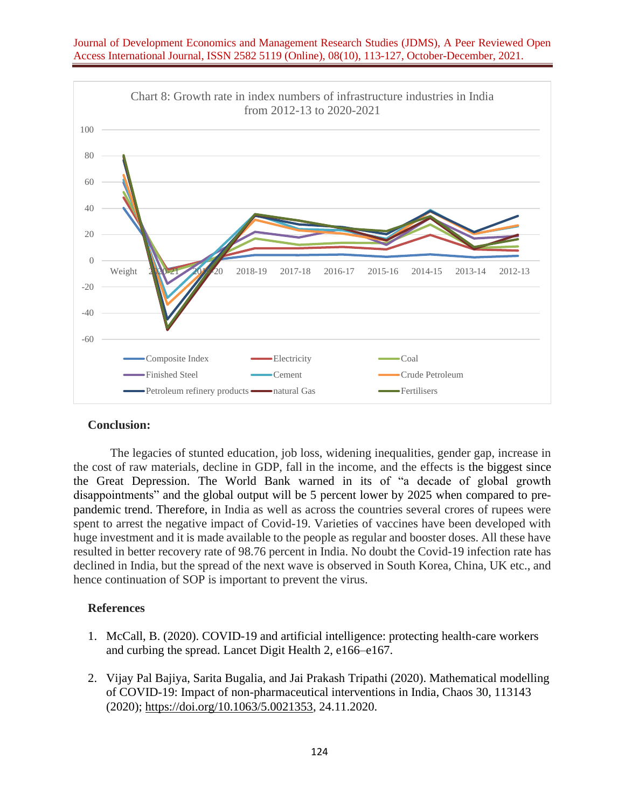

### **Conclusion:**

The legacies of stunted education, job loss, widening inequalities, gender gap, increase in the cost of raw materials, decline in GDP, fall in the income, and the effects is the biggest since the Great Depression. The World Bank warned in its of "a decade of global growth disappointments" and the global output will be 5 percent lower by 2025 when compared to prepandemic trend. Therefore, in India as well as across the countries several crores of rupees were spent to arrest the negative impact of Covid-19. Varieties of vaccines have been developed with huge investment and it is made available to the people as regular and booster doses. All these have resulted in better recovery rate of 98.76 percent in India. No doubt the Covid-19 infection rate has declined in India, but the spread of the next wave is observed in South Korea, China, UK etc., and hence continuation of SOP is important to prevent the virus.

### **References**

- 1. McCall, B. (2020). COVID-19 and artificial intelligence: protecting health-care workers and curbing the spread. Lancet Digit Health 2, e166–e167.
- 2. Vijay Pal Bajiya, Sarita Bugalia, and Jai Prakash Tripathi (2020). Mathematical modelling of COVID-19: Impact of non-pharmaceutical interventions in India, Chaos 30, 113143 (2020); [https://doi.org/10.1063/5.0021353,](https://doi.org/10.1063/5.0021353) 24.11.2020.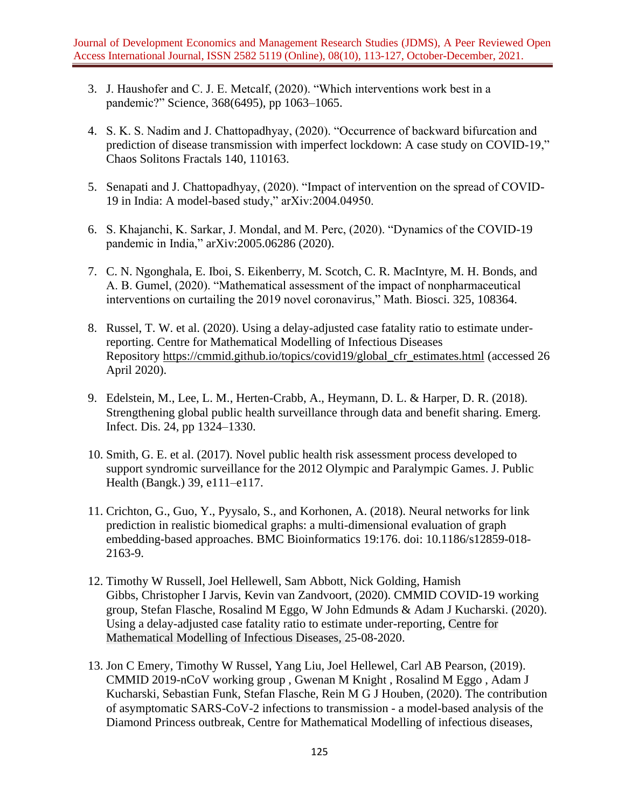- 3. J. Haushofer and C. J. E. Metcalf, (2020). "Which interventions work best in a pandemic?" Science, 368(6495), pp 1063–1065.
- 4. S. K. S. Nadim and J. Chattopadhyay, (2020). "Occurrence of backward bifurcation and prediction of disease transmission with imperfect lockdown: A case study on COVID-19," Chaos Solitons Fractals 140, 110163.
- 5. Senapati and J. Chattopadhyay, (2020). "Impact of intervention on the spread of COVID-19 in India: A model-based study," arXiv:2004.04950.
- 6. S. Khajanchi, K. Sarkar, J. Mondal, and M. Perc, (2020). "Dynamics of the COVID-19 pandemic in India," arXiv:2005.06286 (2020).
- 7. C. N. Ngonghala, E. Iboi, S. Eikenberry, M. Scotch, C. R. MacIntyre, M. H. Bonds, and A. B. Gumel, (2020). "Mathematical assessment of the impact of nonpharmaceutical interventions on curtailing the 2019 novel coronavirus," Math. Biosci. 325, 108364.
- 8. Russel, T. W. et al. (2020). Using a delay-adjusted case fatality ratio to estimate underreporting. Centre for Mathematical Modelling of Infectious Diseases Repository [https://cmmid.github.io/topics/covid19/global\\_cfr\\_estimates.html](https://cmmid.github.io/topics/covid19/global_cfr_estimates.html) (accessed 26 April 2020).
- 9. Edelstein, M., Lee, L. M., Herten-Crabb, A., Heymann, D. L. & Harper, D. R. (2018). Strengthening global public health surveillance through data and benefit sharing. Emerg. Infect. Dis. 24, pp 1324–1330.
- 10. Smith, G. E. et al. (2017). Novel public health risk assessment process developed to support syndromic surveillance for the 2012 Olympic and Paralympic Games. J. Public Health (Bangk.) 39, e111–e117.
- 11. Crichton, G., Guo, Y., Pyysalo, S., and Korhonen, A. (2018). Neural networks for link prediction in realistic biomedical graphs: a multi-dimensional evaluation of graph embedding-based approaches. BMC Bioinformatics 19:176. doi: 10.1186/s12859-018- 2163-9.
- 12. [Timothy W Russell,](mailto:timothy.russell@lshtm.ac.uk) Joel Hellewell, Sam Abbott, Nick Golding, Hamish Gibbs, Christopher I Jarvis, Kevin van Zandvoort, (2020). [CMMID COVID-19 working](https://cmmid.github.io/groups/ncov-group)  [group,](https://cmmid.github.io/groups/ncov-group) Stefan Flasche, Rosalind M Eggo, W John Edmunds & Adam J Kucharski. (2020). Using a delay-adjusted case fatality ratio to estimate under-reporting, Centre for Mathematical Modelling of Infectious Diseases, 25-08-2020.
- 13. Jon C Emery, Timothy W Russel, Yang Liu, Joel Hellewel, Carl AB Pearson, (2019). CMMID 2019-nCoV working group , Gwenan M Knight , Rosalind M Eggo , Adam J Kucharski, Sebastian Funk, Stefan Flasche, Rein M G J Houben, (2020). The contribution of asymptomatic SARS-CoV-2 infections to transmission - a model-based analysis of the Diamond Princess outbreak, Centre for Mathematical Modelling of infectious diseases,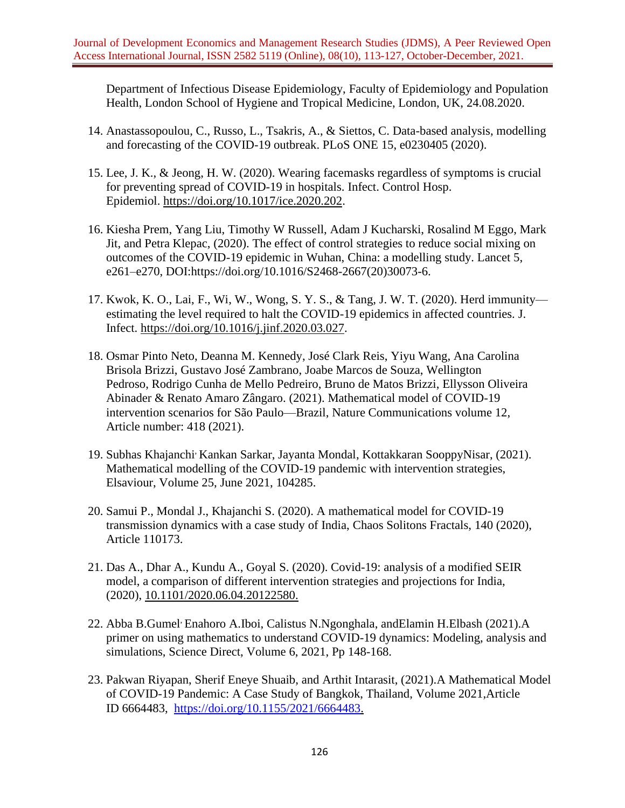Department of Infectious Disease Epidemiology, Faculty of Epidemiology and Population Health, London School of Hygiene and Tropical Medicine, London, UK, 24.08.2020.

- 14. Anastassopoulou, C., Russo, L., Tsakris, A., & Siettos, C. Data-based analysis, modelling and forecasting of the COVID-19 outbreak. PLoS ONE 15, e0230405 (2020).
- 15. Lee, J. K., & Jeong, H. W. (2020). Wearing facemasks regardless of symptoms is crucial for preventing spread of COVID-19 in hospitals. Infect. Control Hosp. Epidemiol. [https://doi.org/10.1017/ice.2020.202.](https://doi.org/10.1017/ice.2020.202)
- 16. [Kiesha Prem, Yang Liu,](https://www.thelancet.com/journals/lanpub/article/PIIS2468-2667(20)30073-6/fulltext) [Timothy W Russell, Adam J Kucharski, Rosalind M Eggo, Mark](https://www.thelancet.com/journals/lanpub/article/PIIS2468-2667(20)30073-6/fulltext)  [Jit, a](https://www.thelancet.com/journals/lanpub/article/PIIS2468-2667(20)30073-6/fulltext)nd [Petra Klepac, \(](https://www.thelancet.com/journals/lanpub/article/PIIS2468-2667(20)30073-6/fulltext)2020). The effect of control strategies to reduce social mixing on outcomes of the COVID-19 epidemic in Wuhan, China: a modelling study. Lancet 5, e261–e270, DOI[:https://doi.org/10.1016/S2468-2667\(20\)30073-6.](https://doi.org/10.1016/S2468-2667(20)30073-6)
- 17. Kwok, K. O., Lai, F., Wi, W., Wong, S. Y. S., & Tang, J. W. T. (2020). Herd immunity estimating the level required to halt the COVID-19 epidemics in affected countries. J. Infect. [https://doi.org/10.1016/j.jinf.2020.03.027.](https://doi.org/10.1016/j.jinf.2020.03.027)
- 18. [Osmar Pinto Neto,](https://www.nature.com/articles/s41467-020-20687-y#auth-Osmar-Pinto_Neto) [Deanna M. Kennedy,](https://www.nature.com/articles/s41467-020-20687-y#auth-Deanna_M_-Kennedy) [José Clark Reis,](https://www.nature.com/articles/s41467-020-20687-y#auth-Jos__Clark-Reis) [Yiyu Wang,](https://www.nature.com/articles/s41467-020-20687-y#auth-Yiyu-Wang) [Ana Carolina](https://www.nature.com/articles/s41467-020-20687-y#auth-Ana_Carolina_Brisola-Brizzi)  [Brisola Brizzi,](https://www.nature.com/articles/s41467-020-20687-y#auth-Ana_Carolina_Brisola-Brizzi) [Gustavo José Zambrano,](https://www.nature.com/articles/s41467-020-20687-y#auth-Gustavo_Jos_-Zambrano) [Joabe Marcos](https://www.nature.com/articles/s41467-020-20687-y#auth-Joabe_Marcos-Souza) de Souza, [Wellington](https://www.nature.com/articles/s41467-020-20687-y#auth-Wellington-Pedroso)  [Pedroso,](https://www.nature.com/articles/s41467-020-20687-y#auth-Wellington-Pedroso) [Rodrigo Cunha de Mello Pedreiro,](https://www.nature.com/articles/s41467-020-20687-y#auth-Rodrigo_Cunha-Mello_Pedreiro) [Bruno de Matos Brizzi,](https://www.nature.com/articles/s41467-020-20687-y#auth-Bruno-Matos_Brizzi) [Ellysson Oliveira](https://www.nature.com/articles/s41467-020-20687-y#auth-Ellysson_Oliveira-Abinader)  [Abinader](https://www.nature.com/articles/s41467-020-20687-y#auth-Ellysson_Oliveira-Abinader) & [Renato Amaro Zângaro.](https://www.nature.com/articles/s41467-020-20687-y#auth-Renato_Amaro-Z_ngaro) (2021). Mathematical model of COVID-19 intervention scenarios for São Paulo—Brazil, [Nature Communications](https://www.nature.com/ncomms) volume 12, Article number: 418 (2021).
- 19. Subhas [Khajanchi](https://www.sciencedirect.com/science/article/pii/S2211379721004198#!), [Kankan](https://www.sciencedirect.com/science/article/pii/S2211379721004198#!) Sarkar, Jayanta [Mondal,](https://www.sciencedirect.com/science/article/pii/S2211379721004198#!) Kottakkaran [SooppyNisar,](https://www.sciencedirect.com/science/article/pii/S2211379721004198#!) (2021). Mathematical modelling of the COVID-19 pandemic with intervention strategies, Elsaviour, [Volume 25,](file:///C:/Users/Thirunavukkarasu/AppData/Roaming/Microsoft/Word/Volume%2025) June 2021, 104285.
- 20. Samui P., Mondal J., Khajanchi S. (2020). A mathematical model for COVID-19 transmission dynamics with a case study of India, Chaos Solitons Fractals, 140 (2020), Article 110173.
- 21. Das A., Dhar A., Kundu A., Goyal S. (2020). Covid-19: analysis of a modified SEIR model, a comparison of different intervention strategies and projections for India, (2020), [10.1101/2020.06.04.20122580.](https://doi.org/10.1101/2020.06.04.20122580)
- 22. [Abba B.Gumel](https://www.sciencedirect.com/science/article/pii/S2468042720300750#!), [Enahoro A.Iboi, Calistus N.Ngonghala,](https://www.sciencedirect.com/science/article/pii/S2468042720300750#!) an[dElamin H.Elbash](https://www.sciencedirect.com/science/article/pii/S2468042720300750#!) (2021).A primer on using mathematics to understand COVID-19 dynamics: Modeling, analysis and simulations, Science Direct, [Volume 6,](https://www.sciencedirect.com/journal/infectious-disease-modelling/vol/6/suppl/C) 2021, Pp 148-168.
- 23. Pakwan Riyapan, Sherif Eneye Shuaib, and Arthit Intarasit, (2021).A Mathematical Model of COVID-19 Pandemic: A Case Study of Bangkok, Thailand, Volume 2021,Article ID 6664483, [https://doi.org/10.1155/2021/6664483.](https://doi.org/10.1155/2021/6664483)